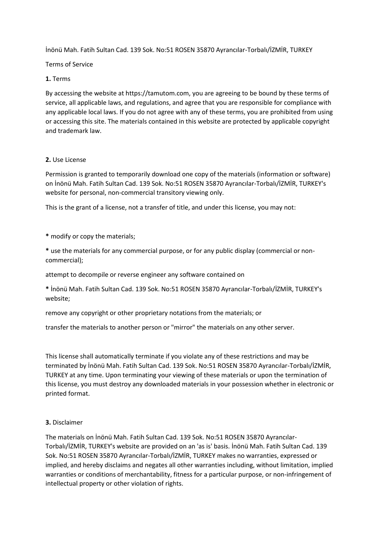İnönü Mah. Fatih Sultan Cad. 139 Sok. No:51 ROSEN 35870 Ayrancılar-Torbalı/İZMİR, TURKEY

Terms of Service

## **1.** Terms

By accessing the website at https://tamutom.com, you are agreeing to be bound by these terms of service, all applicable laws, and regulations, and agree that you are responsible for compliance with any applicable local laws. If you do not agree with any of these terms, you are prohibited from using or accessing this site. The materials contained in this website are protected by applicable copyright and trademark law.

# **2.** Use License

Permission is granted to temporarily download one copy of the materials (information or software) on İnönü Mah. Fatih Sultan Cad. 139 Sok. No:51 ROSEN 35870 Ayrancılar-Torbalı/İZMİR, TURKEY's website for personal, non-commercial transitory viewing only.

This is the grant of a license, not a transfer of title, and under this license, you may not:

- **\*** modify or copy the materials;
- **\*** use the materials for any commercial purpose, or for any public display (commercial or noncommercial);

attempt to decompile or reverse engineer any software contained on

**\*** İnönü Mah. Fatih Sultan Cad. 139 Sok. No:51 ROSEN 35870 Ayrancılar-Torbalı/İZMİR, TURKEY's website;

remove any copyright or other proprietary notations from the materials; or

transfer the materials to another person or "mirror" the materials on any other server.

This license shall automatically terminate if you violate any of these restrictions and may be terminated by İnönü Mah. Fatih Sultan Cad. 139 Sok. No:51 ROSEN 35870 Ayrancılar-Torbalı/İZMİR, TURKEY at any time. Upon terminating your viewing of these materials or upon the termination of this license, you must destroy any downloaded materials in your possession whether in electronic or printed format.

## **3.** Disclaimer

The materials on İnönü Mah. Fatih Sultan Cad. 139 Sok. No:51 ROSEN 35870 Ayrancılar-Torbalı/İZMİR, TURKEY's website are provided on an 'as is' basis. İnönü Mah. Fatih Sultan Cad. 139 Sok. No:51 ROSEN 35870 Ayrancılar-Torbalı/İZMİR, TURKEY makes no warranties, expressed or implied, and hereby disclaims and negates all other warranties including, without limitation, implied warranties or conditions of merchantability, fitness for a particular purpose, or non-infringement of intellectual property or other violation of rights.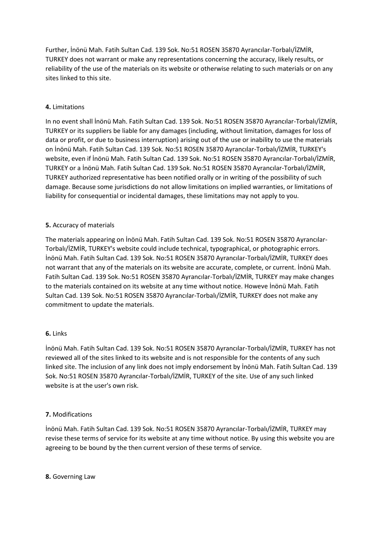Further, İnönü Mah. Fatih Sultan Cad. 139 Sok. No:51 ROSEN 35870 Ayrancılar-Torbalı/İZMİR, TURKEY does not warrant or make any representations concerning the accuracy, likely results, or reliability of the use of the materials on its website or otherwise relating to such materials or on any sites linked to this site.

## **4.** Limitations

In no event shall İnönü Mah. Fatih Sultan Cad. 139 Sok. No:51 ROSEN 35870 Ayrancılar-Torbalı/İZMİR, TURKEY or its suppliers be liable for any damages (including, without limitation, damages for loss of data or profit, or due to business interruption) arising out of the use or inability to use the materials on İnönü Mah. Fatih Sultan Cad. 139 Sok. No:51 ROSEN 35870 Ayrancılar-Torbalı/İZMİR, TURKEY's website, even if İnönü Mah. Fatih Sultan Cad. 139 Sok. No:51 ROSEN 35870 Ayrancılar-Torbalı/İZMİR, TURKEY or a İnönü Mah. Fatih Sultan Cad. 139 Sok. No:51 ROSEN 35870 Ayrancılar-Torbalı/İZMİR, TURKEY authorized representative has been notified orally or in writing of the possibility of such damage. Because some jurisdictions do not allow limitations on implied warranties, or limitations of liability for consequential or incidental damages, these limitations may not apply to you.

# **5.** Accuracy of materials

The materials appearing on İnönü Mah. Fatih Sultan Cad. 139 Sok. No:51 ROSEN 35870 Ayrancılar-Torbalı/İZMİR, TURKEY's website could include technical, typographical, or photographic errors. İnönü Mah. Fatih Sultan Cad. 139 Sok. No:51 ROSEN 35870 Ayrancılar-Torbalı/İZMİR, TURKEY does not warrant that any of the materials on its website are accurate, complete, or current. İnönü Mah. Fatih Sultan Cad. 139 Sok. No:51 ROSEN 35870 Ayrancılar-Torbalı/İZMİR, TURKEY may make changes to the materials contained on its website at any time without notice. Howeve İnönü Mah. Fatih Sultan Cad. 139 Sok. No:51 ROSEN 35870 Ayrancılar-Torbalı/İZMİR, TURKEY does not make any commitment to update the materials.

## **6.** Links

İnönü Mah. Fatih Sultan Cad. 139 Sok. No:51 ROSEN 35870 Ayrancılar-Torbalı/İZMİR, TURKEY has not reviewed all of the sites linked to its website and is not responsible for the contents of any such linked site. The inclusion of any link does not imply endorsement by İnönü Mah. Fatih Sultan Cad. 139 Sok. No:51 ROSEN 35870 Ayrancılar-Torbalı/İZMİR, TURKEY of the site. Use of any such linked website is at the user's own risk.

## **7.** Modifications

İnönü Mah. Fatih Sultan Cad. 139 Sok. No:51 ROSEN 35870 Ayrancılar-Torbalı/İZMİR, TURKEY may revise these terms of service for its website at any time without notice. By using this website you are agreeing to be bound by the then current version of these terms of service.

## **8.** Governing Law